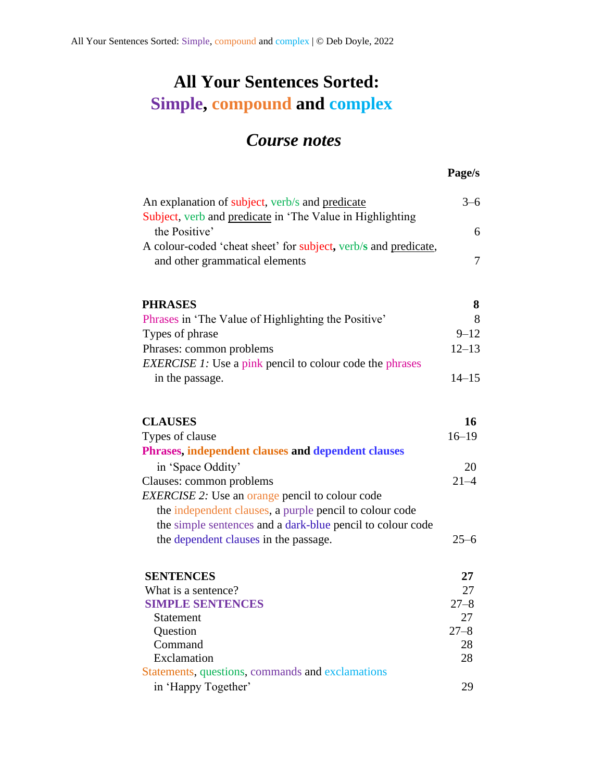## **All Your Sentences Sorted: Simple, compound and complex**

## *Course notes*

## **Page/s**

| An explanation of subject, verb/s and predicate                                                   |           |
|---------------------------------------------------------------------------------------------------|-----------|
| Subject, verb and predicate in 'The Value in Highlighting                                         |           |
| the Positive'                                                                                     | 6         |
| A colour-coded 'cheat sheet' for subject, verb/s and predicate,<br>and other grammatical elements | $\tau$    |
|                                                                                                   |           |
| <b>PHRASES</b>                                                                                    | 8         |
| Phrases in 'The Value of Highlighting the Positive'                                               | 8         |
| Types of phrase                                                                                   | $9 - 12$  |
| Phrases: common problems                                                                          | $12 - 13$ |
| <b>EXERCISE 1:</b> Use a pink pencil to colour code the phrases                                   |           |
| in the passage.                                                                                   | $14 - 15$ |
|                                                                                                   |           |
|                                                                                                   |           |
| <b>CLAUSES</b>                                                                                    | 16        |
| Types of clause                                                                                   | $16 - 19$ |
| Phrases, independent clauses and dependent clauses                                                |           |
| in 'Space Oddity'                                                                                 | 20        |
| Clauses: common problems                                                                          | $21 - 4$  |
| <b>EXERCISE 2:</b> Use an orange pencil to colour code                                            |           |
| the independent clauses, a purple pencil to colour code                                           |           |
| the simple sentences and a dark-blue pencil to colour code                                        |           |
| the dependent clauses in the passage.                                                             | $25 - 6$  |
|                                                                                                   |           |
| <b>SENTENCES</b>                                                                                  | 27        |
| What is a sentence?                                                                               | 27        |
| <b>SIMPLE SENTENCES</b>                                                                           | $27 - 8$  |
| <b>Statement</b>                                                                                  | 27        |
| Question                                                                                          | $27 - 8$  |
| Command                                                                                           | 28        |
| Exclamation                                                                                       | 28        |
| Statements, questions, commands and exclamations                                                  |           |
| in 'Happy Together'                                                                               | 29        |